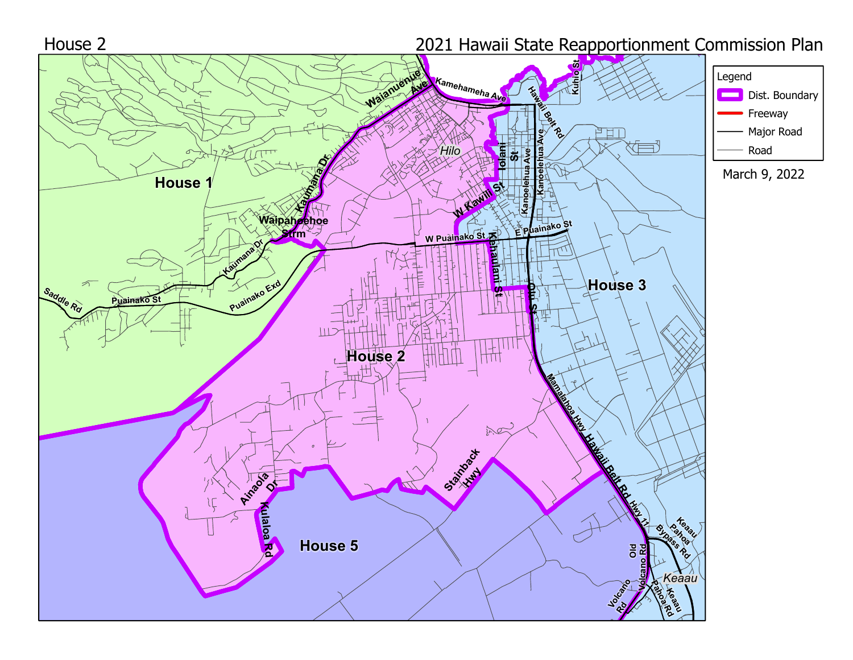